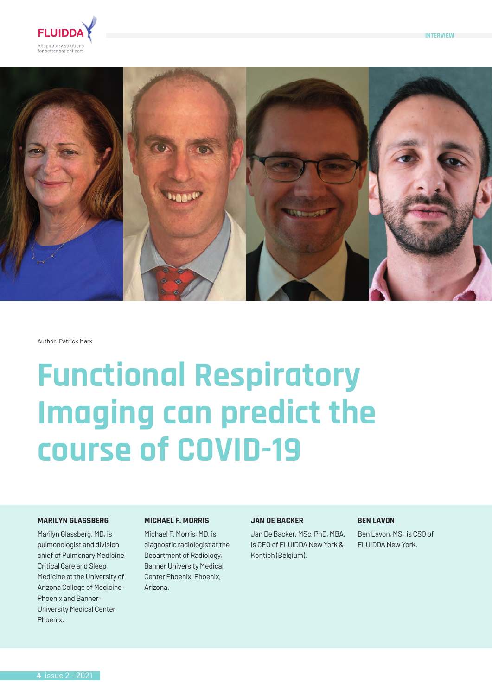





Author: Patrick Marx

# **Functional Respiratory Imaging can predict the course of COVID-19**

# **MARILYN GLASSBERG**

Marilyn Glassberg, MD, is pulmonologist and division chief of Pulmonary Medicine, Critical Care and Sleep Medicine at the University of Arizona College of Medicine – Phoenix and Banner – University Medical Center Phoenix.

# **MICHAEL F. MORRIS**

Michael F. Morris, MD, is diagnostic radiologist at the Department of Radiology, Banner University Medical Center Phoenix, Phoenix, Arizona.

# **JAN DE BACKER**

Jan De Backer, MSc, PhD, MBA, is CEO of FLUIDDA New York & Kontich (Belgium).

## **BEN LAVON**

Ben Lavon, MS, is CSO of FLUIDDA New York.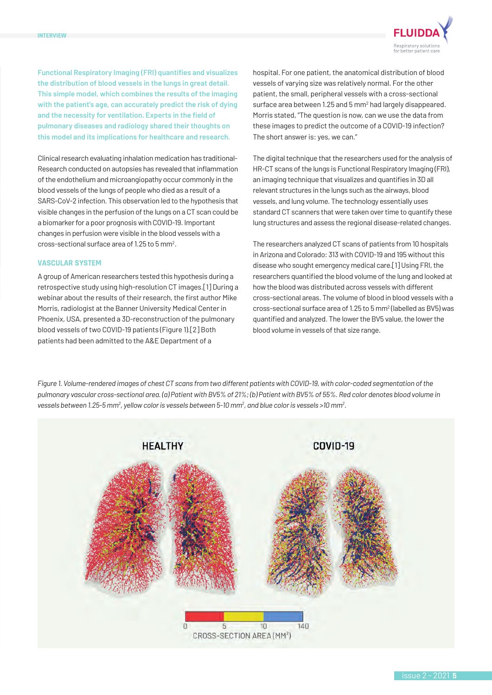

**Functional Respiratory Imaging (FRI) quantifies and visualizes the distribution of blood vessels in the lungs in great detail. This simple model, which combines the results of the imaging with the patient's age, can accurately predict the risk of dying and the necessity for ventilation. Experts in the field of pulmonary diseases and radiology shared their thoughts on this model and its implications for healthcare and research.**

Clinical research evaluating inhalation medication has traditional-Research conducted on autopsies has revealed that inflammation of the endothelium and microangiopathy occur commonly in the blood vessels of the lungs of people who died as a result of a SARS-CoV-2 infection. This observation led to the hypothesis that visible changes in the perfusion of the lungs on a CT scan could be a biomarker for a poor prognosis with COVID-19. Important changes in perfusion were visible in the blood vessels with a cross-sectional surface area of 1.25 to 5 mm2 .

# **VASCULAR SYSTEM**

A group of American researchers tested this hypothesis during a retrospective study using high-resolution CT images.[1] During a webinar about the results of their research, the first author Mike Morris, radiologist at the Banner University Medical Center in Phoenix, USA, presented a 3D-reconstruction of the pulmonary blood vessels of two COVID-19 patients (Figure 1).[2] Both patients had been admitted to the A&E Department of a

hospital. For one patient, the anatomical distribution of blood vessels of varying size was relatively normal. For the other patient, the small, peripheral vessels with a cross-sectional surface area between 1.25 and 5 mm<sup>2</sup> had largely disappeared. Morris stated, "The question is now, can we use the data from these images to predict the outcome of a COVID-19 infection? The short answer is: yes, we can."

The digital technique that the researchers used for the analysis of HR-CT scans of the lungs is Functional Respiratory Imaging (FRI), an imaging technique that visualizes and quantifies in 3D all relevant structures in the lungs such as the airways, blood vessels, and lung volume. The technology essentially uses standard CT scanners that were taken over time to quantify these lung structures and assess the regional disease-related changes.

The researchers analyzed CT scans of patients from 10 hospitals in Arizona and Colorado: 313 with COVID-19 and 195 without this disease who sought emergency medical care.[1] Using FRI, the researchers quantified the blood volume of the lung and looked at how the blood was distributed across vessels with different cross-sectional areas. The volume of blood in blood vessels with a cross-sectional surface area of 1.25 to 5 mm<sup>2</sup> (labelled as BV5) was quantified and analyzed. The lower the BV5 value, the lower the blood volume in vessels of that size range.

*Figure 1. Volume-rendered images of chest CT scans from two different patients with COVID-19, with color-coded segmentation of the pulmonary vascular cross-sectional area. (a) Patient with BV5% of 21%; (b) Patient with BV5% of 55%. Red color denotes blood volume in vessels between 1.25-5 mm2 , yellow color is vessels between 5-10 mm2 , and blue color is vessels >10 mm2 .*

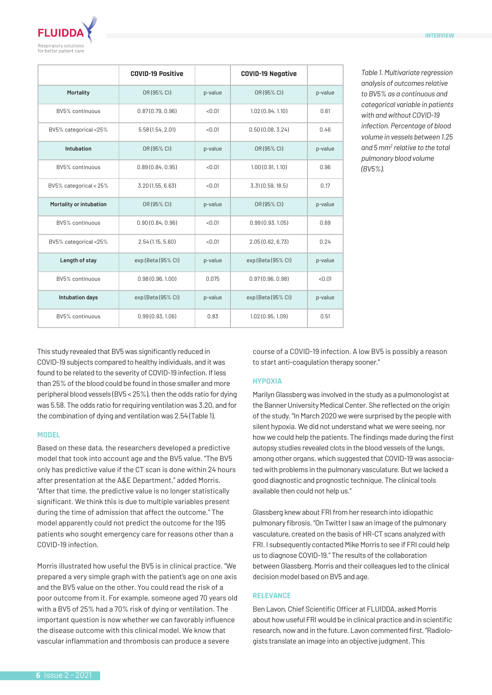

|                         | <b>COVID-19 Positive</b> |         | <b>COVID-19 Negative</b> |         |
|-------------------------|--------------------------|---------|--------------------------|---------|
| Mortality               | OR (95% CI)              | p-value | OR (95% CI)              | p-value |
| BV5% continuous         | 0.87(0.79, 0.96)         | < 0.01  | 1.02(0.94, 1.10)         | 0.61    |
| BV5% categorical <25%   | 5.58(1.54, 2.01)         | < 0.01  | 0.50(0.08, 3.24)         | 0.46    |
| Intubation              | OR (95% CI)              | p-value | OR (95% CI)              | p-value |
| BV5% continuous         | 0.89(0.84, 0.95)         | < 0.01  | 1.00(0.91, 1.10)         | 0.96    |
| BV5% categorical < 25%  | 3.20(1.55, 6.63)         | < 0.01  | 3.31(0.59, 18.5)         | 0.17    |
| Mortality or intubation | OR (95% CI)              | p-value | OR (95% CI)              | p-value |
| BV5% continuous         | 0.90(0.84, 0.96)         | < 0.01  | 0.99(0.93, 1.05)         | 0.69    |
| BV5% categorical <25%   | 2.54(1.15, 5.60)         | < 0.01  | 2.05(0.62, 6.73)         | 0.24    |
| Length of stay          | exp (Beta (95% CI)       | p-value | exp (Beta (95% CI)       | p-value |
| BV5% continuous         | 0.98(0.96, 1.00)         | 0.075   | 0.97(0.96, 0.98)         | < 0.01  |
| Intubation days         | exp (Beta (95% CI)       | p-value | exp (Beta (95% CI)       | p-value |
| BV5% continuous         | 0.99(0.93, 1.06)         | 0.83    | 1.02(0.95, 1.09)         | 0.51    |

*Table 1. Multivariate regression analysis of outcomes relative to BV5% as a continuous and categorical variable in patients with and without COVID-19 infection. Percentage of blood volume in vessels between 1.25*  and 5 mm<sup>2</sup> relative to the total *pulmonary blood volume (BV5%).*

This study revealed that BV5 was significantly reduced in COVID-19 subjects compared to healthy individuals, and it was found to be related to the severity of COVID-19 infection. If less than 25% of the blood could be found in those smaller and more peripheral blood vessels (BV5 < 25%), then the odds ratio for dying was 5.58. The odds ratio for requiring ventilation was 3.20, and for the combination of dying and ventilation was 2.54 (Table 1).

## **MODEL**

Based on these data, the researchers developed a predictive model that took into account age and the BV5 value. "The BV5 only has predictive value if the CT scan is done within 24 hours after presentation at the A&E Department," added Morris. "After that time, the predictive value is no longer statistically significant. We think this is due to multiple variables present during the time of admission that affect the outcome." The model apparently could not predict the outcome for the 195 patients who sought emergency care for reasons other than a COVID-19 infection.

Morris illustrated how useful the BV5 is in clinical practice. "We prepared a very simple graph with the patient's age on one axis and the BV5 value on the other. You could read the risk of a poor outcome from it. For example, someone aged 70 years old with a BV5 of 25% had a 70% risk of dying or ventilation. The important question is now whether we can favorably influence the disease outcome with this clinical model. We know that vascular inflammation and thrombosis can produce a severe

course of a COVID-19 infection. A low BV5 is possibly a reason to start anti-coagulation therapy sooner."

#### **HYPOXIA**

Marilyn Glassberg was involved in the study as a pulmonologist at the Banner University Medical Center. She reflected on the origin of the study. "In March 2020 we were surprised by the people with silent hypoxia. We did not understand what we were seeing, nor how we could help the patients. The findings made during the first autopsy studies revealed clots in the blood vessels of the lungs, among other organs, which suggested that COVID-19 was associated with problems in the pulmonary vasculature. But we lacked a good diagnostic and prognostic technique. The clinical tools available then could not help us."

Glassberg knew about FRI from her research into idiopathic pulmonary fibrosis. "On Twitter I saw an image of the pulmonary vasculature, created on the basis of HR-CT scans analyzed with FRI. I subsequently contacted Mike Morris to see if FRI could help us to diagnose COVID-19." The results of the collaboration between Glassberg, Morris and their colleagues led to the clinical decision model based on BV5 and age.

### **RELEVANCE**

Ben Lavon, Chief Scientific Officer at FLUIDDA, asked Morris about how useful FRI would be in clinical practice and in scientific research, now and in the future. Lavon commented first, "Radiologists translate an image into an objective judgment. This